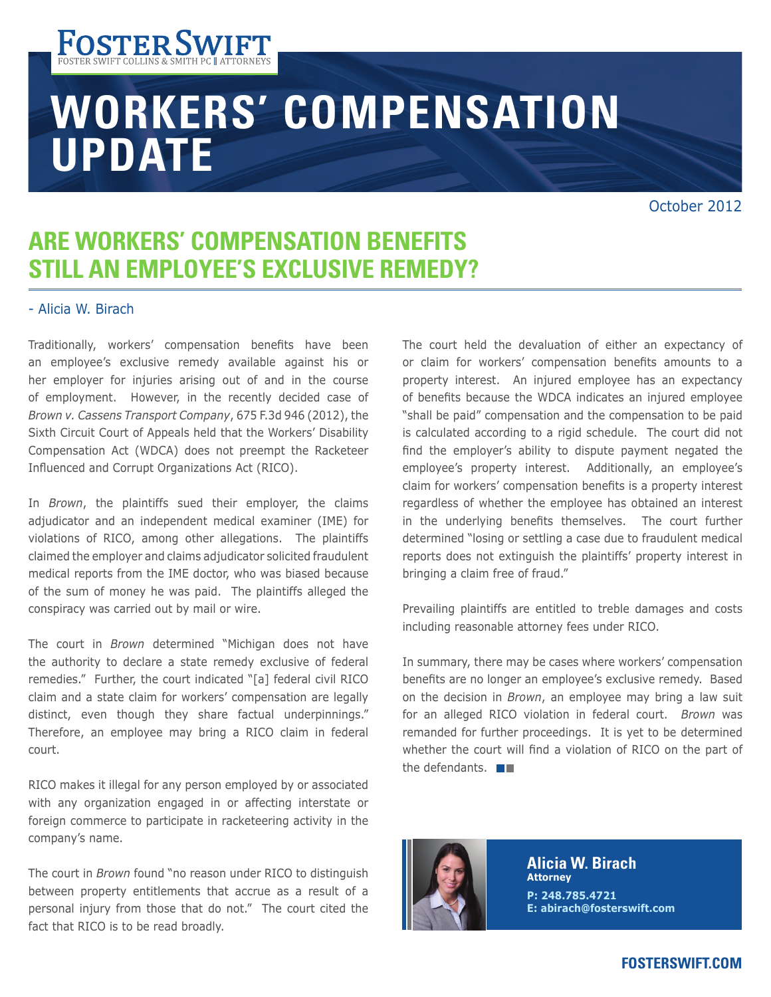

# **WORKERS' COMPENSATION UPDATE**

# **ARE WORKERS' COMPENSATION BENEFITS STILL AN EMPLOYEE'S EXCLUSIVE REMEDY?**

#### - Alicia W. Birach

Traditionally, workers' compensation benefits have been an employee's exclusive remedy available against his or her employer for injuries arising out of and in the course of employment. However, in the recently decided case of *Brown v. Cassens Transport Company*, 675 F.3d 946 (2012), the Sixth Circuit Court of Appeals held that the Workers' Disability Compensation Act (WDCA) does not preempt the Racketeer Influenced and Corrupt Organizations Act (RICO).

In *Brown*, the plaintiffs sued their employer, the claims adjudicator and an independent medical examiner (IME) for violations of RICO, among other allegations. The plaintiffs claimed the employer and claims adjudicator solicited fraudulent medical reports from the IME doctor, who was biased because of the sum of money he was paid. The plaintiffs alleged the conspiracy was carried out by mail or wire.

The court in *Brown* determined "Michigan does not have the authority to declare a state remedy exclusive of federal remedies." Further, the court indicated "[a] federal civil RICO claim and a state claim for workers' compensation are legally distinct, even though they share factual underpinnings." Therefore, an employee may bring a RICO claim in federal court.

RICO makes it illegal for any person employed by or associated with any organization engaged in or affecting interstate or foreign commerce to participate in racketeering activity in the company's name.

The court in *Brown* found "no reason under RICO to distinguish between property entitlements that accrue as a result of a personal injury from those that do not." The court cited the fact that RICO is to be read broadly.

The court held the devaluation of either an expectancy of or claim for workers' compensation benefits amounts to a property interest. An injured employee has an expectancy of benefits because the WDCA indicates an injured employee "shall be paid" compensation and the compensation to be paid is calculated according to a rigid schedule. The court did not find the employer's ability to dispute payment negated the employee's property interest. Additionally, an employee's claim for workers' compensation benefits is a property interest regardless of whether the employee has obtained an interest in the underlying benefits themselves. The court further determined "losing or settling a case due to fraudulent medical reports does not extinguish the plaintiffs' property interest in bringing a claim free of fraud."

Prevailing plaintiffs are entitled to treble damages and costs including reasonable attorney fees under RICO.

In summary, there may be cases where workers' compensation benefits are no longer an employee's exclusive remedy. Based on the decision in *Brown*, an employee may bring a law suit for an alleged RICO violation in federal court. *Brown* was remanded for further proceedings. It is yet to be determined whether the court will find a violation of RICO on the part of the defendants.  $\blacksquare$ 



**Alicia W. Birach Attorney P: 248.785.4721 E: abirach@fosterswift.com**